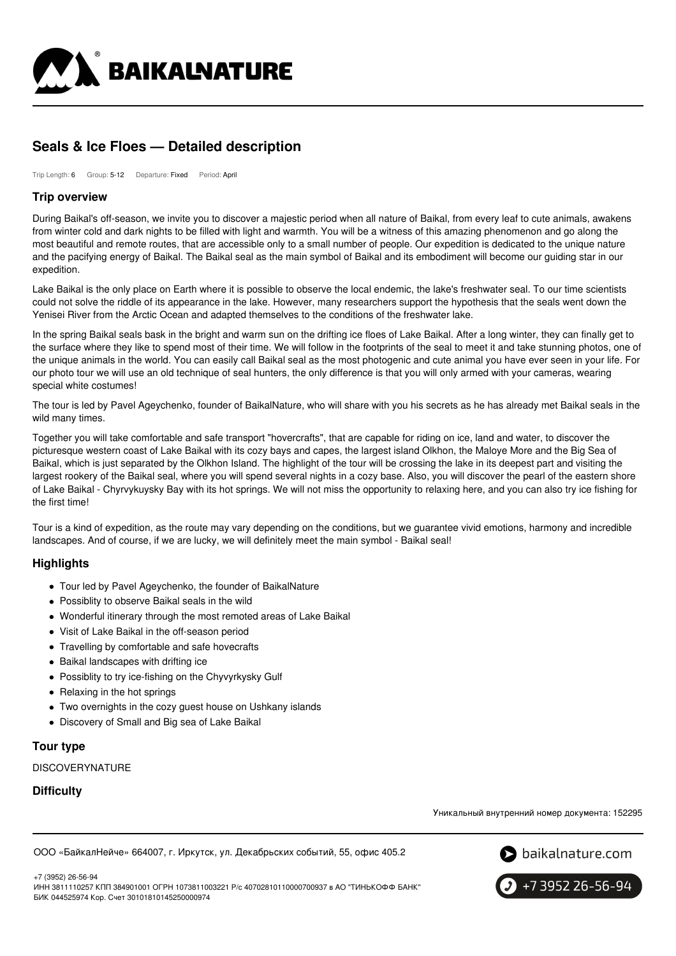

# **Seals & Ice Floes — Detailed description**

Trip Length: 6 Group: 5-12 Departure: Fixed Period: April

### **Trip overview**

During Baikal's off-season, we invite you to discover a majestic period when all nature of Baikal, from every leaf to cute animals, awakens from winter cold and dark nights to be filled with light and warmth. You will be a witness of this amazing phenomenon and go along the most beautiful and remote routes, that are accessible only to a small number of people. Our expedition is dedicated to the unique nature and the pacifying energy of Baikal. The Baikal seal as the main symbol of Baikal and its embodiment will become our guiding star in our expedition.

Lake Baikal is the only place on Earth where it is possible to observe the local endemic, the lake's freshwater seal. To our time scientists could not solve the riddle of its appearance in the lake. However, many researchers support the hypothesis that the seals went down the Yenisei River from the Arctic Ocean and adapted themselves to the conditions of the freshwater lake.

In the spring Baikal seals bask in the bright and warm sun on the drifting ice floes of Lake Baikal. After a long winter, they can finally get to the surface where they like to spend most of their time. We will follow in the footprints of the seal to meet it and take stunning photos, one of the unique animals in the world. You can easily call Baikal seal as the most photogenic and cute animal you have ever seen in your life. For our photo tour we will use an old technique of seal hunters, the only difference is that you will only armed with your cameras, wearing special white costumes!

The tour is led by Pavel Ageychenko, founder of BaikalNature, who will share with you his secrets as he has already met Baikal seals in the wild many times.

Together you will take comfortable and safe transport "hovercrafts", that are capable for riding on ice, land and water, to discover the picturesque western coast of Lake Baikal with its cozy bays and capes, the largest island Olkhon, the Maloye More and the Big Sea of Baikal, which is just separated by the Olkhon Island. The highlight of the tour will be crossing the lake in its deepest part and visiting the largest rookery of the Baikal seal, where you will spend several nights in a cozy base. Also, you will discover the pearl of the eastern shore of Lake Baikal - Chyrvykuysky Bay with its hot springs. We will not miss the opportunity to relaxing here, and you can also try ice fishing for the first time!

Tour is a kind of expedition, as the route may vary depending on the conditions, but we guarantee vivid emotions, harmony and incredible landscapes. And of course, if we are lucky, we will definitely meet the main symbol - Baikal seal!

# **Highlights**

- Tour led by Pavel Ageychenko, the founder of BaikalNature
- Possiblity to observe Baikal seals in the wild
- Wonderful itinerary through the most remoted areas of Lake Baikal
- Visit of Lake Baikal in the off-season period
- Travelling by comfortable and safe hovecrafts
- Baikal landscapes with drifting ice
- Possiblity to try ice-fishing on the Chyvyrkysky Gulf
- Relaxing in the hot springs
- Two overnights in the cozy guest house on Ushkany islands
- Discovery of Small and Big sea of Lake Baikal

# **Tour type**

DISCOVERYNATURE

### **Difficulty**

Уникальный внутренний номер документа: 152295

ООО «БайкалНейче» 664007, г. Иркутск, ул. Декабрьских событий, 55, офис 405.2



+7 (3952) 26-56-94 ИНН 3811110257 КПП 384901001 ОГРН 1073811003221 Р/с 40702810110000700937 в АО "ТИНЬКОФФ БАНК" БИК 044525974 Кор. Счет 30101810145250000974

+7 3952 26-56-94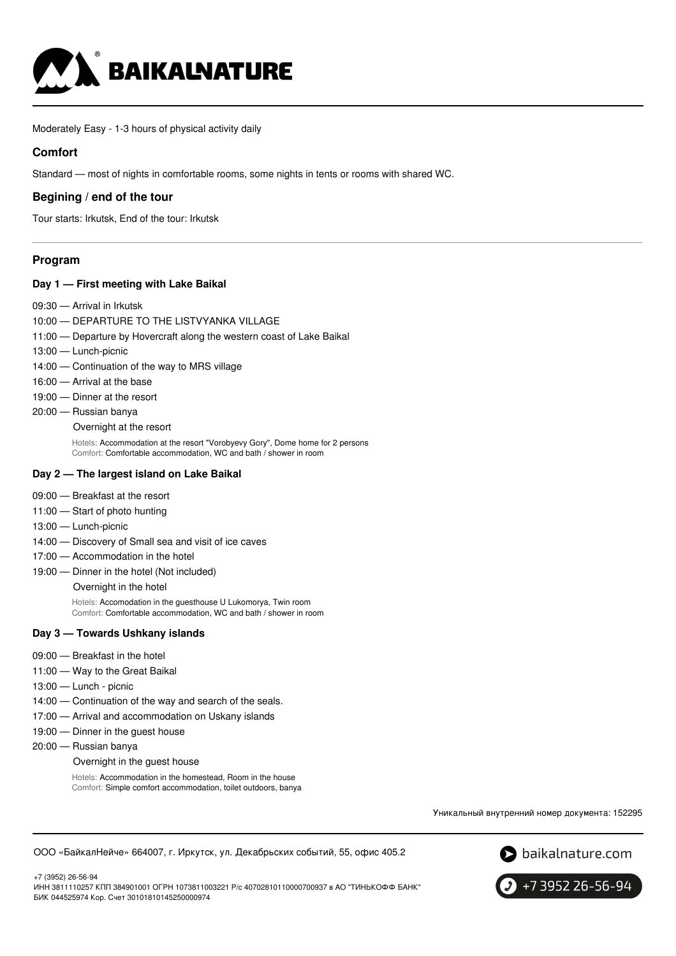

Moderately Easy - 1-3 hours of physical activity daily

### **Comfort**

Standard — most of nights in comfortable rooms, some nights in tents or rooms with shared WC.

### **Begining / end of the tour**

Tour starts: Irkutsk, End of the tour: Irkutsk

### **Program**

#### **Day 1 — First meeting with Lake Baikal**

- 09:30 Arrival in Irkutsk
- 10:00 DEPARTURE TO THE LISTVYANKA VILLAGE
- 11:00 Departure by Hovercraft along the western coast of Lake Baikal
- 13:00 Lunch-picnic
- 14:00 Continuation of the way to MRS village
- 16:00 Arrival at the base
- 19:00 Dinner at the resort
- 20:00 Russian banya

#### Overnight at the resort

Hotels: Accommodation at the resort "Vorobyevy Gory", Dome home for 2 persons Comfort: Comfortable accommodation, WC and bath / shower in room

#### **Day 2 — The largest island on Lake Baikal**

- 09:00 Breakfast at the resort
- 11:00 Start of photo hunting
- 13:00 Lunch-picnic
- 14:00 Discovery of Small sea and visit of ice caves
- 17:00 Accommodation in the hotel
- 19:00 Dinner in the hotel (Not included) Overnight in the hotel

Hotels: Accomodation in the guesthouse U Lukomorya, Twin room Comfort: Comfortable accommodation, WC and bath / shower in room

#### **Day 3 — Towards Ushkany islands**

- 09:00 Breakfast in the hotel
- 11:00 Way to the Great Baikal
- 13:00 Lunch picnic
- 14:00 Continuation of the way and search of the seals.
- 17:00 Arrival and accommodation on Uskany islands
- 19:00 Dinner in the guest house
- 20:00 Russian banya

#### Overnight in the guest house

Hotels: Accommodation in the homestead, Room in the house Comfort: Simple comfort accommodation, toilet outdoors, banya

Уникальный внутренний номер документа: 152295





+7 (3952) 26-56-94 ИНН 3811110257 КПП 384901001 ОГРН 1073811003221 Р/с 40702810110000700937 в АО "ТИНЬКОФФ БАНК" БИК 044525974 Кор. Счет 30101810145250000974

+7 3952 26-56-94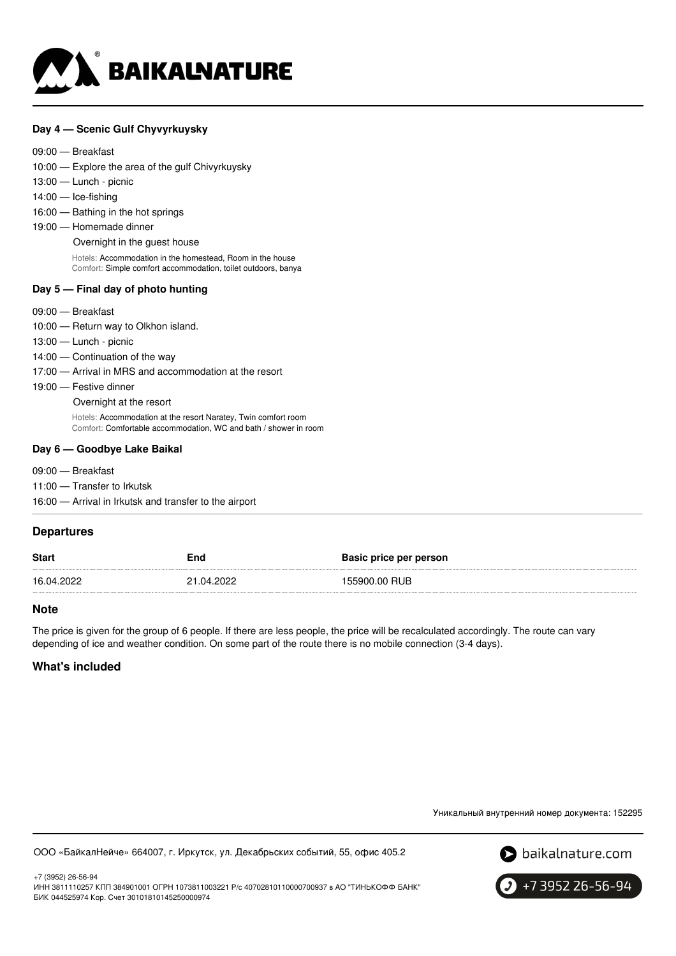

#### **Day 4 — Scenic Gulf Chyvyrkuysky**

#### 09:00 — Breakfast

10:00 — Explore the area of the gulf Chivyrkuysky

- 13:00 Lunch picnic
- 14:00 Ice-fishing
- 16:00 Bathing in the hot springs
- 19:00 Homemade dinner

Overnight in the guest house

Hotels: Accommodation in the homestead, Room in the house Comfort: Simple comfort accommodation, toilet outdoors, banya

#### **Day 5 — Final day of photo hunting**

- 09:00 Breakfast
- 10:00 Return way to Olkhon island.
- 13:00 Lunch picnic
- 14:00 Continuation of the way
- 17:00 Arrival in MRS and accommodation at the resort
- 19:00 Festive dinner

Overnight at the resort

Hotels: Accommodation at the resort Naratey, Twin comfort room Comfort: Comfortable accommodation, WC and bath / shower in room

#### **Day 6 — Goodbye Lake Baikal**

- 09:00 Breakfast
- 11:00 Transfer to Irkutsk

16:00 — Arrival in Irkutsk and transfer to the airport

### **Departures**

| <b>Start</b> | End        | Basic price per person |
|--------------|------------|------------------------|
| 16.04.2022   | 21.04.2022 | 155900.00 RUB          |

#### **Note**

The price is given for the group of 6 people. If there are less people, the price will be recalculated accordingly. The route can vary depending of ice and weather condition. On some part of the route there is no mobile connection (3-4 days).

## **What's included**

Уникальный внутренний номер документа: 152295

ООО «БайкалНейче» 664007, г. Иркутск, ул. Декабрьских событий, 55, офис 405.2



+7 (3952) 26-56-94 ИНН 3811110257 КПП 384901001 ОГРН 1073811003221 Р/с 40702810110000700937 в АО "ТИНЬКОФФ БАНК" БИК 044525974 Кор. Счет 30101810145250000974

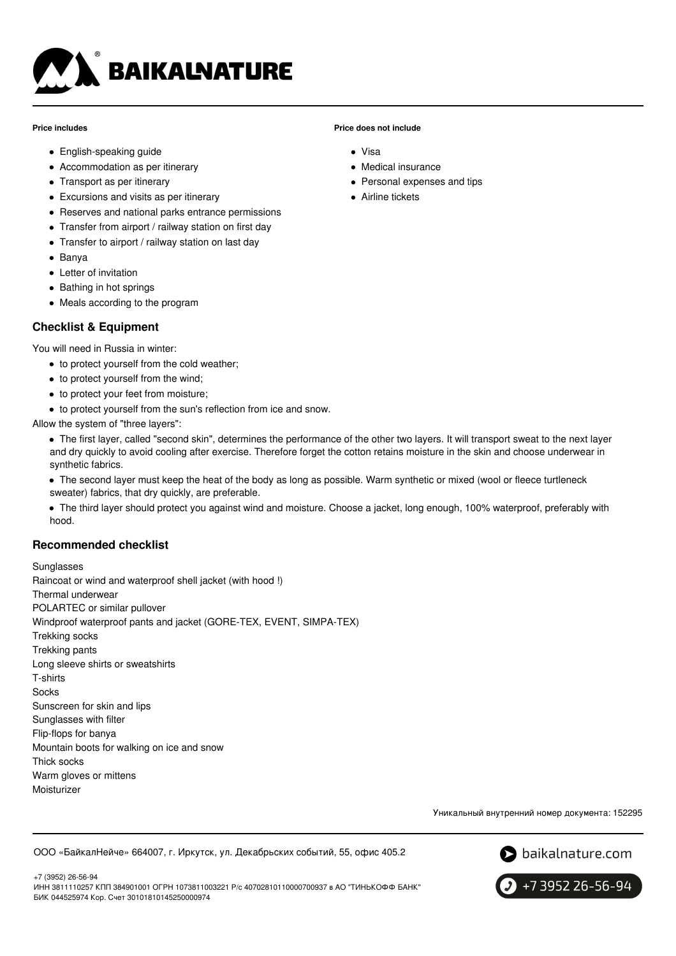

#### **Price includes**

- English-speaking guide
- Accommodation as per itinerary
- Transport as per itinerary
- Excursions and visits as per itinerary
- Reserves and national parks entrance permissions
- Transfer from airport / railway station on first day
- Transfer to airport / railway station on last day
- Banya
- Letter of invitation
- Bathing in hot springs
- Meals according to the program

# **Checklist & Equipment**

You will need in Russia in winter:

- to protect yourself from the cold weather:
- to protect yourself from the wind;
- to protect your feet from moisture;
- $\bullet$  to protect yourself from the sun's reflection from ice and snow.

Allow the system of "three layers":

- The first layer, called "second skin", determines the performance of the other two layers. It will transport sweat to the next layer and dry quickly to avoid cooling after exercise. Therefore forget the cotton retains moisture in the skin and choose underwear in synthetic fabrics.
- The second layer must keep the heat of the body as long as possible. Warm synthetic or mixed (wool or fleece turtleneck sweater) fabrics, that dry quickly, are preferable.
- The third layer should protect you against wind and moisture. Choose a jacket, long enough, 100% waterproof, preferably with hood.

# **Recommended checklist**

Sunglasses Raincoat or wind and waterproof shell jacket (with hood !) Thermal underwear POLARTEC or similar pullover Windproof waterproof pants and jacket (GORE-TEX, EVENT, SIMPA-TEX) Trekking socks Trekking pants Long sleeve shirts or sweatshirts T-shirts **Socks** Sunscreen for skin and lips Sunglasses with filter Flip-flops for banya Mountain boots for walking on ice and snow Thick socks Warm gloves or mittens Moisturizer

Уникальный внутренний номер документа: 152295

ООО «БайкалНейче» 664007, г. Иркутск, ул. Декабрьских событий, 55, офис 405.2



+7 (3952) 26-56-94 ИНН 3811110257 КПП 384901001 ОГРН 1073811003221 Р/с 40702810110000700937 в АО "ТИНЬКОФФ БАНК" БИК 044525974 Кор. Счет 30101810145250000974



### **Price does not include**

- Visa
- Medical insurance
- Personal expenses and tips
- **Airline tickets**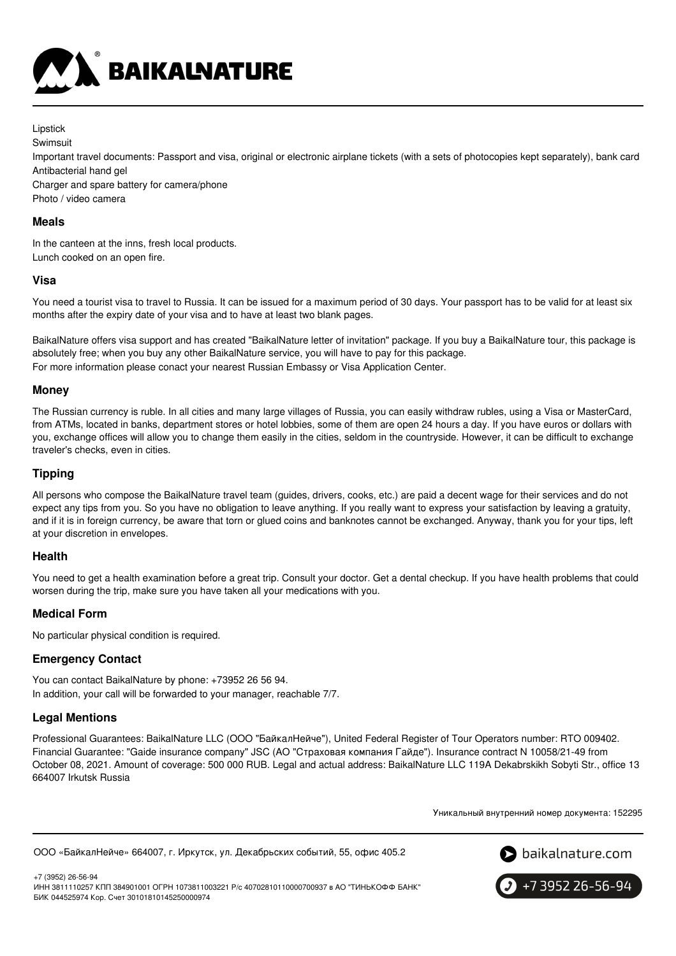

Lipstick Swimsuit

Important travel documents: Passport and visa, original or electronic airplane tickets (with a sets of photocopies kept separately), bank card Antibacterial hand gel

Charger and spare battery for camera/phone Photo / video camera

### **Meals**

In the canteen at the inns, fresh local products. Lunch cooked on an open fire.

### **Visa**

You need a tourist visa to travel to Russia. It can be issued for a maximum period of 30 days. Your passport has to be valid for at least six months after the expiry date of your visa and to have at least two blank pages.

BaikalNature offers visa support and has created "BaikalNature letter of invitation" package. If you buy a BaikalNature tour, this package is absolutely free; when you buy any other BaikalNature service, you will have to pay for this package. For more information please conact your nearest Russian Embassy or Visa Application Center.

### **Money**

The Russian currency is ruble. In all cities and many large villages of Russia, you can easily withdraw rubles, using a Visa or MasterCard, from ATMs, located in banks, department stores or hotel lobbies, some of them are open 24 hours a day. If you have euros or dollars with you, exchange offices will allow you to change them easily in the cities, seldom in the countryside. However, it can be difficult to exchange traveler's checks, even in cities.

# **Tipping**

All persons who compose the BaikalNature travel team (guides, drivers, cooks, etc.) are paid a decent wage for their services and do not expect any tips from you. So you have no obligation to leave anything. If you really want to express your satisfaction by leaving a gratuity, and if it is in foreign currency, be aware that torn or glued coins and banknotes cannot be exchanged. Anyway, thank you for your tips, left at your discretion in envelopes.

# **Health**

You need to get a health examination before a great trip. Consult your doctor. Get a dental checkup. If you have health problems that could worsen during the trip, make sure you have taken all your medications with you.

# **Medical Form**

No particular physical condition is required.

# **Emergency Contact**

You can contact BaikalNature by phone: +73952 26 56 94. In addition, your call will be forwarded to your manager, reachable 7/7.

# **Legal Mentions**

Professional Guarantees: BaikalNature LLC (ООО "БайкалНейче"), United Federal Register of Tour Operators number: RTO 009402. Financial Guarantee: "Gaide insurance company" JSC (АО "Страховая компания Гайде"). Insurance contract N 10058/21-49 from October 08, 2021. Amount of coverage: 500 000 RUB. Legal and actual address: BaikalNature LLC 119А Dekabrskikh Sobyti Str., office 13 664007 Irkutsk Russia

Уникальный внутренний номер документа: 152295

```
ООО «БайкалНейче» 664007, г. Иркутск, ул. Декабрьских событий, 55, офис 405.2
```


+7 (3952) 26-56-94 ИНН 3811110257 КПП 384901001 ОГРН 1073811003221 Р/с 40702810110000700937 в АО "ТИНЬКОФФ БАНК" БИК 044525974 Кор. Счет 30101810145250000974